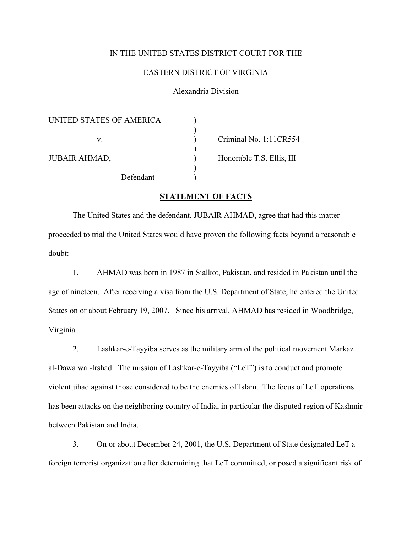## IN THE UNITED STATES DISTRICT COURT FOR THE

## EASTERN DISTRICT OF VIRGINIA

## Alexandria Division

| UNITED STATES OF AMERICA |                           |
|--------------------------|---------------------------|
| V.                       | Criminal No. 1:11CR554    |
| <b>JUBAIR AHMAD,</b>     | Honorable T.S. Ellis, III |
| Defendant                |                           |

## **STATEMENT OF FACTS**

The United States and the defendant, JUBAIR AHMAD, agree that had this matter proceeded to trial the United States would have proven the following facts beyond a reasonable doubt:

1. AHMAD was born in 1987 in Sialkot, Pakistan, and resided in Pakistan until the age of nineteen. After receiving a visa from the U.S. Department of State, he entered the United States on or about February 19, 2007. Since his arrival, AHMAD has resided in Woodbridge, Virginia.

2. Lashkar-e-Tayyiba serves as the military arm of the political movement Markaz al-Dawa wal-Irshad. The mission of Lashkar-e-Tayyiba ("LeT") is to conduct and promote violent jihad against those considered to be the enemies of Islam. The focus of LeT operations has been attacks on the neighboring country of India, in particular the disputed region of Kashmir between Pakistan and India.

3. On or about December 24, 2001, the U.S. Department of State designated LeT a foreign terrorist organization after determining that LeT committed, or posed a significant risk of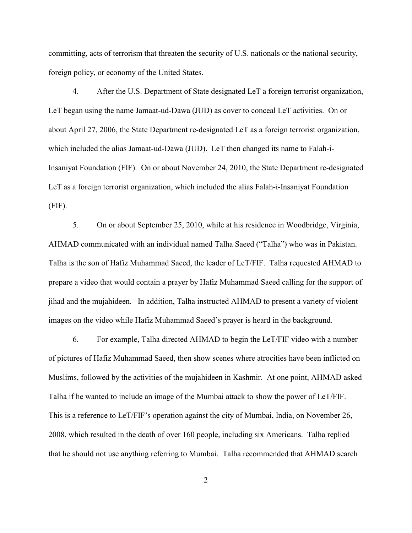committing, acts of terrorism that threaten the security of U.S. nationals or the national security, foreign policy, or economy of the United States.

4. After the U.S. Department of State designated LeT a foreign terrorist organization, LeT began using the name Jamaat-ud-Dawa (JUD) as cover to conceal LeT activities. On or about April 27, 2006, the State Department re-designated LeT as a foreign terrorist organization, which included the alias Jamaat-ud-Dawa (JUD). LeT then changed its name to Falah-i-Insaniyat Foundation (FIF). On or about November 24, 2010, the State Department re-designated LeT as a foreign terrorist organization, which included the alias Falah-i-Insaniyat Foundation (FIF).

5. On or about September 25, 2010, while at his residence in Woodbridge, Virginia, AHMAD communicated with an individual named Talha Saeed ("Talha") who was in Pakistan. Talha is the son of Hafiz Muhammad Saeed, the leader of LeT/FIF. Talha requested AHMAD to prepare a video that would contain a prayer by Hafiz Muhammad Saeed calling for the support of jihad and the mujahideen. In addition, Talha instructed AHMAD to present a variety of violent images on the video while Hafiz Muhammad Saeed's prayer is heard in the background.

6. For example, Talha directed AHMAD to begin the LeT/FIF video with a number of pictures of Hafiz Muhammad Saeed, then show scenes where atrocities have been inflicted on Muslims, followed by the activities of the mujahideen in Kashmir. At one point, AHMAD asked Talha if he wanted to include an image of the Mumbai attack to show the power of LeT/FIF. This is a reference to LeT/FIF's operation against the city of Mumbai, India, on November 26, 2008, which resulted in the death of over 160 people, including six Americans. Talha replied that he should not use anything referring to Mumbai. Talha recommended that AHMAD search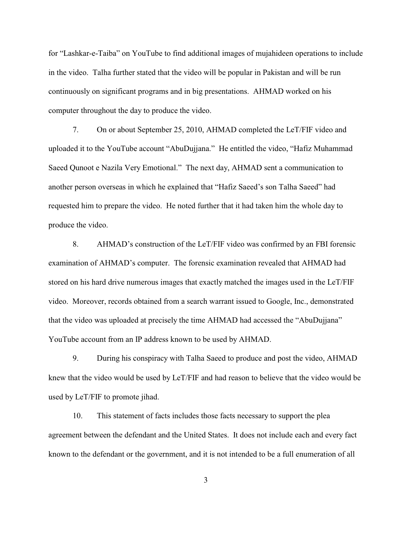for "Lashkar-e-Taiba" on YouTube to find additional images of mujahideen operations to include in the video. Talha further stated that the video will be popular in Pakistan and will be run continuously on significant programs and in big presentations. AHMAD worked on his computer throughout the day to produce the video.

7. On or about September 25, 2010, AHMAD completed the LeT/FIF video and uploaded it to the YouTube account "AbuDujjana." He entitled the video, "Hafiz Muhammad Saeed Qunoot e Nazila Very Emotional." The next day, AHMAD sent a communication to another person overseas in which he explained that "Hafiz Saeed's son Talha Saeed" had requested him to prepare the video. He noted further that it had taken him the whole day to produce the video.

8. AHMAD's construction of the LeT/FIF video was confirmed by an FBI forensic examination of AHMAD's computer. The forensic examination revealed that AHMAD had stored on his hard drive numerous images that exactly matched the images used in the LeT/FIF video. Moreover, records obtained from a search warrant issued to Google, Inc., demonstrated that the video was uploaded at precisely the time AHMAD had accessed the "AbuDujjana" YouTube account from an IP address known to be used by AHMAD.

9. During his conspiracy with Talha Saeed to produce and post the video, AHMAD knew that the video would be used by LeT/FIF and had reason to believe that the video would be used by LeT/FIF to promote jihad.

10. This statement of facts includes those facts necessary to support the plea agreement between the defendant and the United States. It does not include each and every fact known to the defendant or the government, and it is not intended to be a full enumeration of all

3